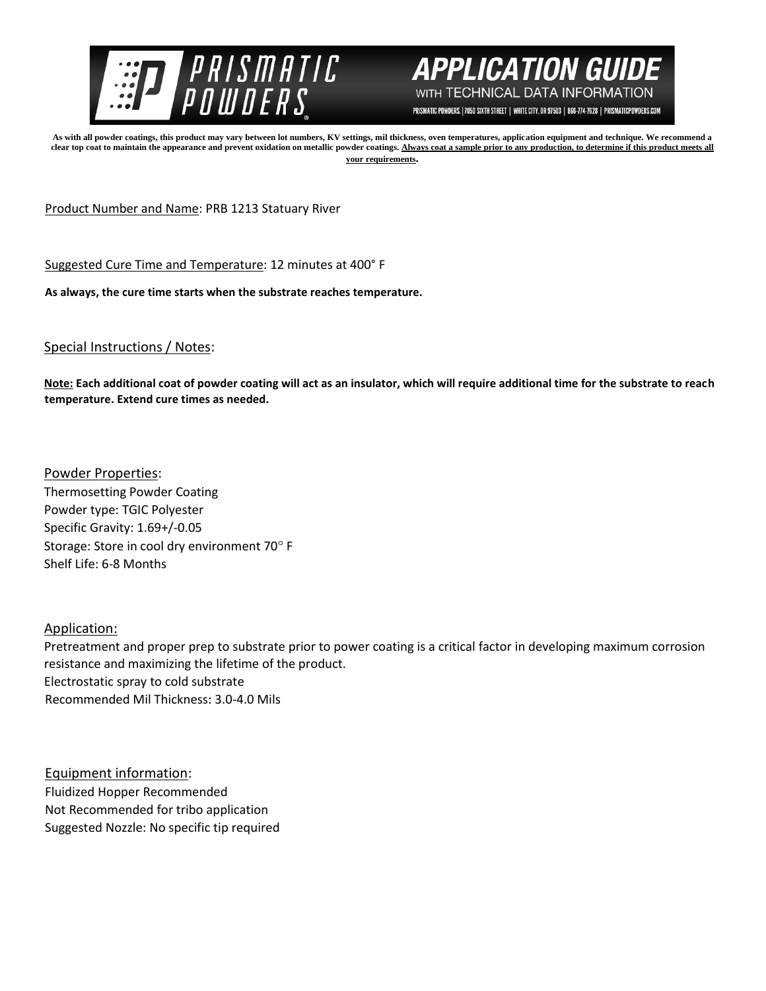



PRISMATIC POWDERS. | 7050 SIXTH STREET | WHITE CITY, OR 97503 | 866-774-7628 | PRISMATICPOWDERS.COM

**As with all powder coatings, this product may vary between lot numbers, KV settings, mil thickness, oven temperatures, application equipment and technique. We recommend a**  clear top coat to maintain the appearance and prevent oxidation on metallic powder coatings. Always coat a sample prior to any production, to determine if this product meets all **your requirements.** 

Product Number and Name: PRB 1213 Statuary River

Suggested Cure Time and Temperature: 12 minutes at 400° F

**As always, the cure time starts when the substrate reaches temperature.**

## Special Instructions / Notes:

**Note: Each additional coat of powder coating will act as an insulator, which will require additional time for the substrate to reach temperature. Extend cure times as needed.** 

Powder Properties: Thermosetting Powder Coating Powder type: TGIC Polyester Specific Gravity: 1.69+/-0.05 Storage: Store in cool dry environment 70° F Shelf Life: 6-8 Months

Application:

Pretreatment and proper prep to substrate prior to power coating is a critical factor in developing maximum corrosion resistance and maximizing the lifetime of the product. Electrostatic spray to cold substrate Recommended Mil Thickness: 3.0-4.0 Mils

Equipment information: Fluidized Hopper Recommended Not Recommended for tribo application Suggested Nozzle: No specific tip required